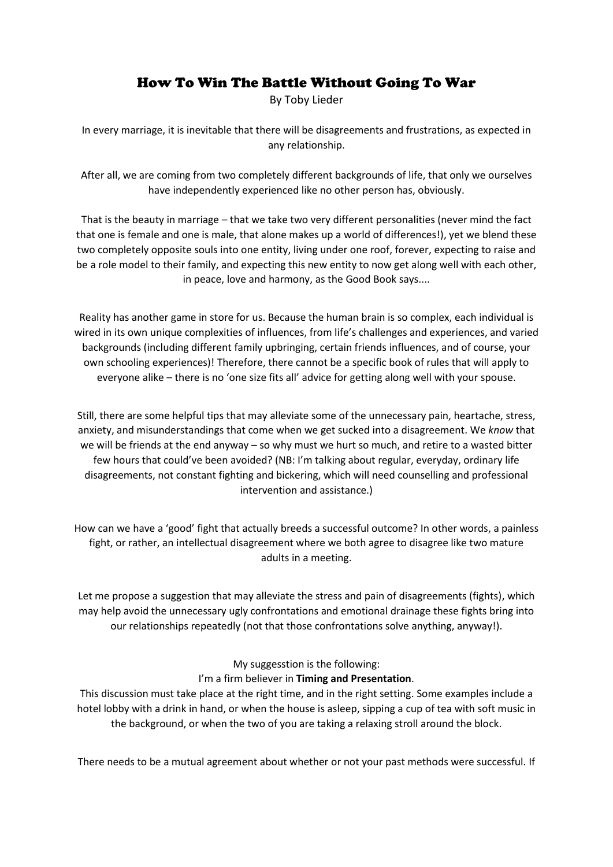## How To Win The Battle Without Going To War

By Toby Lieder

In every marriage, it is inevitable that there will be disagreements and frustrations, as expected in any relationship.

After all, we are coming from two completely different backgrounds of life, that only we ourselves have independently experienced like no other person has, obviously.

That is the beauty in marriage – that we take two very different personalities (never mind the fact that one is female and one is male, that alone makes up a world of differences!), yet we blend these two completely opposite souls into one entity, living under one roof, forever, expecting to raise and be a role model to their family, and expecting this new entity to now get along well with each other, in peace, love and harmony, as the Good Book says....

Reality has another game in store for us. Because the human brain is so complex, each individual is wired in its own unique complexities of influences, from life's challenges and experiences, and varied backgrounds (including different family upbringing, certain friends influences, and of course, your own schooling experiences)! Therefore, there cannot be a specific book of rules that will apply to everyone alike – there is no 'one size fits all' advice for getting along well with your spouse.

Still, there are some helpful tips that may alleviate some of the unnecessary pain, heartache, stress, anxiety, and misunderstandings that come when we get sucked into a disagreement. We *know* that we will be friends at the end anyway – so why must we hurt so much, and retire to a wasted bitter few hours that could've been avoided? (NB: I'm talking about regular, everyday, ordinary life disagreements, not constant fighting and bickering, which will need counselling and professional intervention and assistance.)

How can we have a 'good' fight that actually breeds a successful outcome? In other words, a painless fight, or rather, an intellectual disagreement where we both agree to disagree like two mature adults in a meeting.

Let me propose a suggestion that may alleviate the stress and pain of disagreements (fights), which may help avoid the unnecessary ugly confrontations and emotional drainage these fights bring into our relationships repeatedly (not that those confrontations solve anything, anyway!).

## My suggesstion is the following: I'm a firm believer in **Timing and Presentation**.

This discussion must take place at the right time, and in the right setting. Some examples include a hotel lobby with a drink in hand, or when the house is asleep, sipping a cup of tea with soft music in the background, or when the two of you are taking a relaxing stroll around the block.

There needs to be a mutual agreement about whether or not your past methods were successful. If